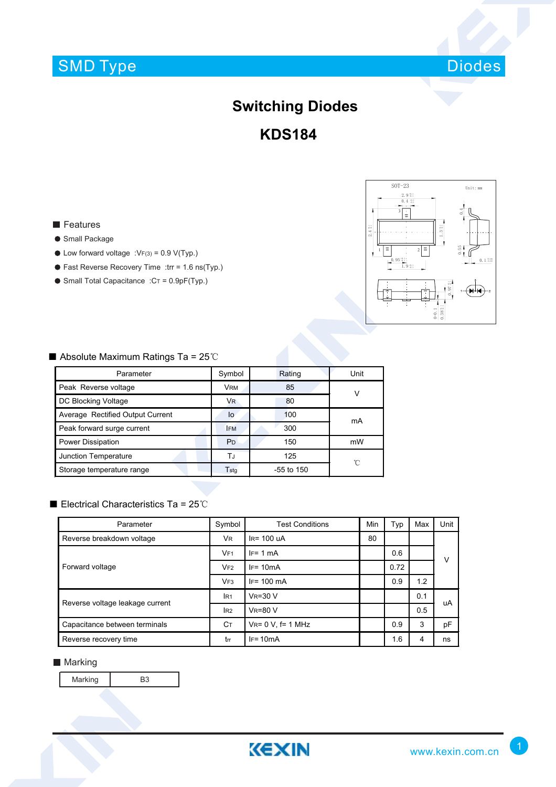# SMD Type



# **Switching Diodes**

**KDS184**

## **Features**

#### ● Small Package

- $\bullet$  Low forward voltage :VF(3) = 0.9 V(Typ.)
- Fast Reverse Recovery Time :trr = 1.6 ns(Typ.)
- $\bullet$  Small Total Capacitance :  $CT = 0.9pF(Typ.)$



## ■ Absolute Maximum Ratings Ta = 25℃

| Parameter                        | Symbol                | Rating       | Unit |  |
|----------------------------------|-----------------------|--------------|------|--|
| Peak Reverse voltage             | <b>VRM</b>            | 85           | ν    |  |
| DC Blocking Voltage              | <b>V<sub>R</sub></b>  | 80           |      |  |
| Average Rectified Output Current | lo                    | 100          | mA   |  |
| Peak forward surge current       | <b>IFM</b>            | 300          |      |  |
| Power Dissipation                | <b>P</b> <sub>D</sub> | 150          | mW   |  |
| Junction Temperature             | ТJ                    | 125          | °C   |  |
| Storage temperature range        | Tstg                  | $-55$ to 150 |      |  |

### ■ Electrical Characteristics Ta = 25℃

| Parameter                       | Symbol          | <b>Test Conditions</b>   | Min | Typ  | Max | Unit |  |
|---------------------------------|-----------------|--------------------------|-----|------|-----|------|--|
| Reverse breakdown voltage       | V <sub>R</sub>  | $IR = 100$ uA            | 80  |      |     |      |  |
| Forward voltage                 | VF1             | $IF = 1 mA$              |     | 0.6  |     | V    |  |
|                                 | VF2             | $IF = 10mA$              |     | 0.72 |     |      |  |
|                                 | VF <sub>3</sub> | $IF = 100 \text{ mA}$    |     | 0.9  | 1.2 |      |  |
| Reverse voltage leakage current | IR <sub>1</sub> | $V_R = 30 V$             |     |      | 0.1 | uA   |  |
|                                 | I <sub>R2</sub> | $V_R = 80 V$             |     |      | 0.5 |      |  |
| Capacitance between terminals   | Cт              | $V_{R} = 0 V$ , f= 1 MHz |     | 0.9  | 3   | pF   |  |
| Reverse recovery time           | tm              | $IF = 10mA$              |     | 1.6  | 4   | ns   |  |

### **Marking**

Marking B3

**KEXIN**